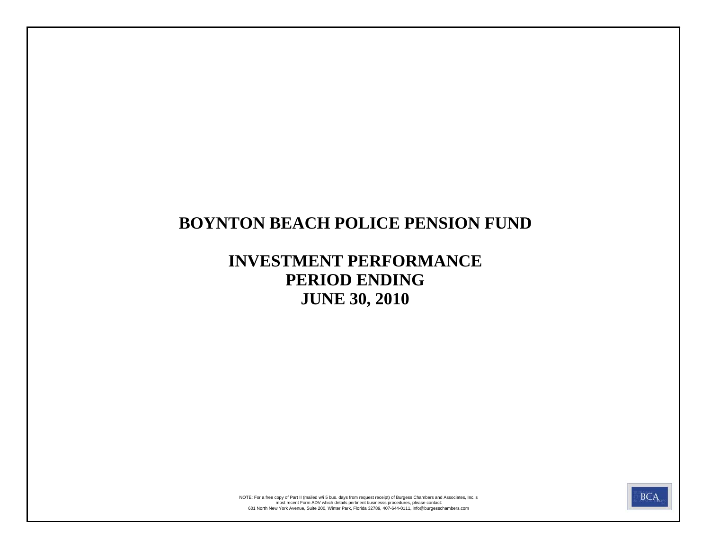# **BOYNTON BEACH POLICE PENSION FUND**

# **INVESTMENT PERFORMANCE PERIOD ENDING JUNE 30, 2010**



601 North New York Avenue, Suite 200, Winter Park, Florida 32789, 407-644-0111, info@burgesschambers.com most recent Form ADV which details pertinent businesss procedures, please contact: NOTE: For a free copy of Part II (mailed w/i 5 bus. days from request receipt) of Burgess Chambers and Associates, Inc.'s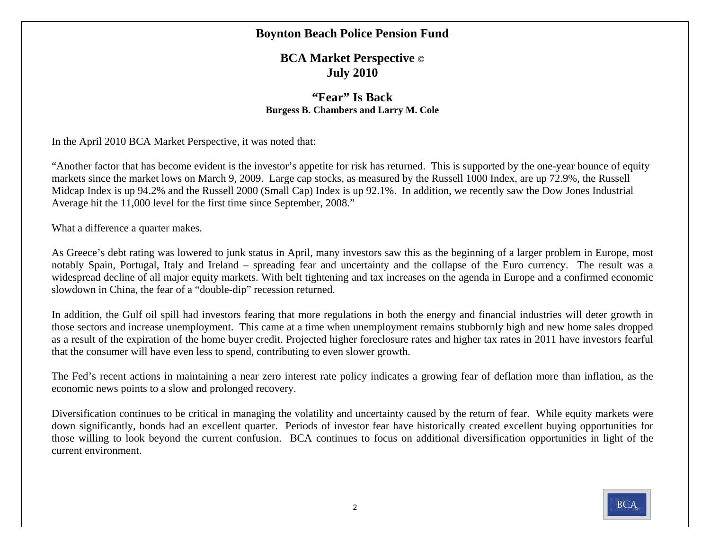### **Boynton Beach Police Pension Fund**

### **BCA Market Perspective © July 2010**

### **"Fear" Is BackBurgess B. Chambers and Larry M. Cole**

In the April 2010 BCA Market Perspective, it was noted that:

"Another factor that has become evident is the investor's appetite for risk has returned. This is supported by the one-year bounce of equity markets since the market lows on March 9, 2009. Large cap stocks, as measured by the Russell 1000 Index, are up 72.9%, the Russell Midcap Index is up 94.2% and the Russell 2000 (Small Cap) Index is up 92.1%. In addition, we recently saw the Dow Jones Industrial Average hit the 11,000 level for the first time since September, 2008."

What a difference a quarter makes.

As Greece's debt rating was lowered to junk status in April, many investors saw this as the beginning of a larger problem in Europe, most notably Spain, Portugal, Italy and Ireland – spreading fear and uncertainty and the collapse of the Euro currency. The result was a widespread decline of all major equity markets. With belt tightening and tax increases on the agenda in Europe and a confirmed economic slowdown in China, the fear of a "double-dip" recession returned.

In addition, the Gulf oil spill had investors fearing that more regulations in both the energy and financial industries will deter growth in those sectors and increase unemployment. This came at a time when unemployment remains stubbornly high and new home sales dropped as a result of the expiration of the home buyer credit. Projected higher foreclosure rates and higher tax rates in 2011 have investors fearful that the consumer will have even less to spend, contributing to even slower growth.

The Fed's recent actions in maintaining a near zero interest rate policy indicates a growing fear of deflation more than inflation, as the economic news points to a slow and prolonged recovery.

Diversification continues to be critical in managing the volatility and uncertainty caused by the return of fear. While equity markets were down significantly, bonds had an excellent quarter. Periods of investor fear have historically created excellent buying opportunities for those willing to look beyond the current confusion. BCA continues to focus on additional diversification opportunities in light of the current environment.

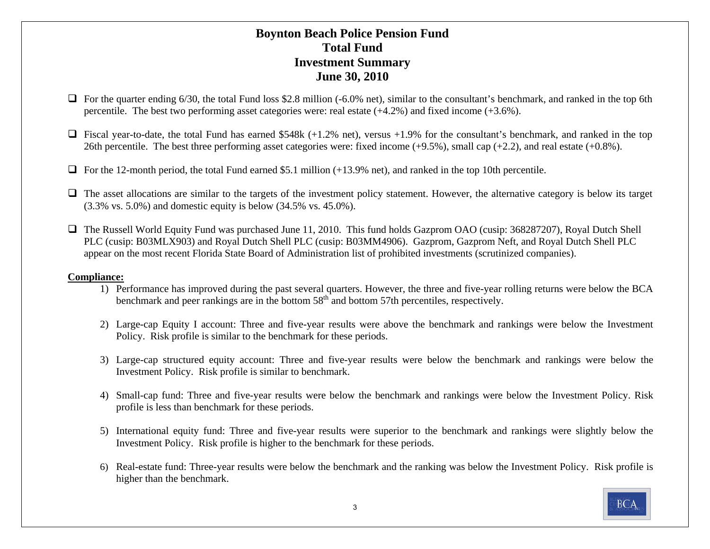### **Boynton Beach Police Pension Fund Total FundInvestment Summary June 30, 2010**

- $\Box$  For the quarter ending 6/30, the total Fund loss \$2.8 million (-6.0% net), similar to the consultant's benchmark, and ranked in the top 6th percentile. The best two performing asset categories were: real estate (+4.2%) and fixed income (+3.6%).
- $\Box$  Fiscal year-to-date, the total Fund has earned \$548k (+1.2% net), versus +1.9% for the consultant's benchmark, and ranked in the top 26th percentile. The best three performing asset categories were: fixed income  $(+9.5\%)$ , small cap  $(+2.2)$ , and real estate  $(+0.8\%)$ .
- $\Box$  For the 12-month period, the total Fund earned \$5.1 million (+13.9% net), and ranked in the top 10th percentile.
- $\Box$  The asset allocations are similar to the targets of the investment policy statement. However, the alternative category is below its target (3.3% vs. 5.0%) and domestic equity is below (34.5% vs. 45.0%).
- The Russell World Equity Fund was purchased June 11, 2010. This fund holds Gazprom OAO (cusip: 368287207), Royal Dutch Shell PLC (cusip: B03MLX903) and Royal Dutch Shell PLC (cusip: B03MM4906). Gazprom, Gazprom Neft, and Royal Dutch Shell PLC appear on the most recent Florida State Board of Administration list of prohibited investments (scrutinized companies).

#### **Compliance:**

- 1) Performance has improved during the past several quarters. However, the three and five-year rolling returns were below the BCA benchmark and peer rankings are in the bottom  $58<sup>th</sup>$  and bottom 57th percentiles, respectively.
- 2) Large-cap Equity I account: Three and five-year results were above the benchmark and rankings were below the Investment Policy. Risk profile is similar to the benchmark for these periods.
- 3) Large-cap structured equity account: Three and five-year results were below the benchmark and rankings were below the Investment Policy. Risk profile is similar to benchmark.
- 4) Small-cap fund: Three and five-year results were below the benchmark and rankings were below the Investment Policy. Risk profile is less than benchmark for these periods.
- 5) International equity fund: Three and five-year results were superior to the benchmark and rankings were slightly below the Investment Policy. Risk profile is higher to the benchmark for these periods.
- 6) Real-estate fund: Three-year results were below the benchmark and the ranking was below the Investment Policy. Risk profile is higher than the benchmark.

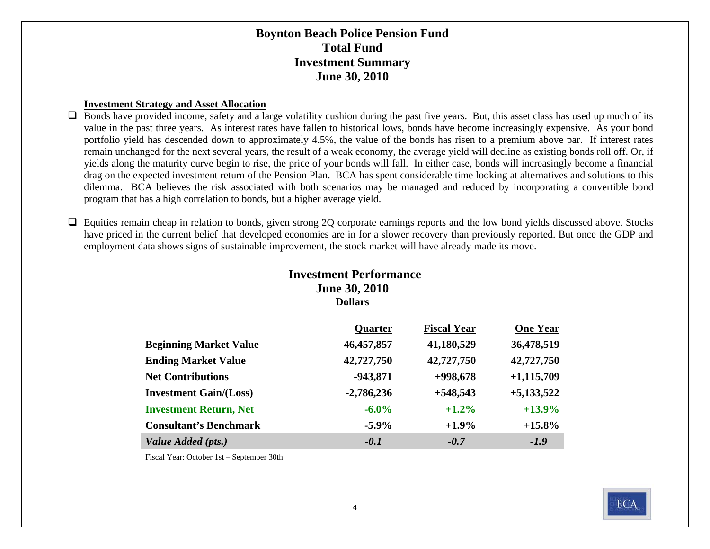### **Boynton Beach Police Pension Fund Total FundInvestment Summary June 30, 2010**

#### **Investment Strategy and Asset Allocation**

 $\Box$  Bonds have provided income, safety and a large volatility cushion during the past five years. But, this asset class has used up much of its value in the past three years. As interest rates have fallen to historical lows, bonds have become increasingly expensive. As your bond portfolio yield has descended down to approximately 4.5%, the value of the bonds has risen to a premium above par. If interest rates remain unchanged for the next several years, the result of a weak economy, the average yield will decline as existing bonds roll off. Or, if yields along the maturity curve begin to rise, the price of your bonds will fall. In either case, bonds will increasingly become a financial drag on the expected investment return of the Pension Plan. BCA has spent considerable time looking at alternatives and solutions to this dilemma. BCA believes the risk associated with both scenarios may be managed and reduced by incorporating a convertible bond program that has a high correlation to bonds, but a higher average yield.

□ Equities remain cheap in relation to bonds, given strong 2Q corporate earnings reports and the low bond yields discussed above. Stocks have priced in the current belief that developed economies are in for a slower recovery than previously reported. But once the GDP and employment data shows signs of sustainable improvement, the stock market will have already made its move.

### **Investment Performance June 30, 2010 Dollars**

|                               | <b>Quarter</b> | <b>Fiscal Year</b> | <b>One Year</b> |
|-------------------------------|----------------|--------------------|-----------------|
| <b>Beginning Market Value</b> | 46,457,857     | 41,180,529         | 36,478,519      |
| <b>Ending Market Value</b>    | 42,727,750     | 42,727,750         | 42,727,750      |
| <b>Net Contributions</b>      | $-943,871$     | $+998,678$         | $+1,115,709$    |
| <b>Investment Gain/(Loss)</b> | $-2,786,236$   | $+548,543$         | $+5,133,522$    |
| <b>Investment Return, Net</b> | $-6.0\%$       | $+1.2\%$           | $+13.9%$        |
| <b>Consultant's Benchmark</b> | $-5.9\%$       | $+1.9%$            | $+15.8\%$       |
| Value Added (pts.)            | $-0.1$         | $-0.7$             | $-1.9$          |

Fiscal Year: October 1st – September 30th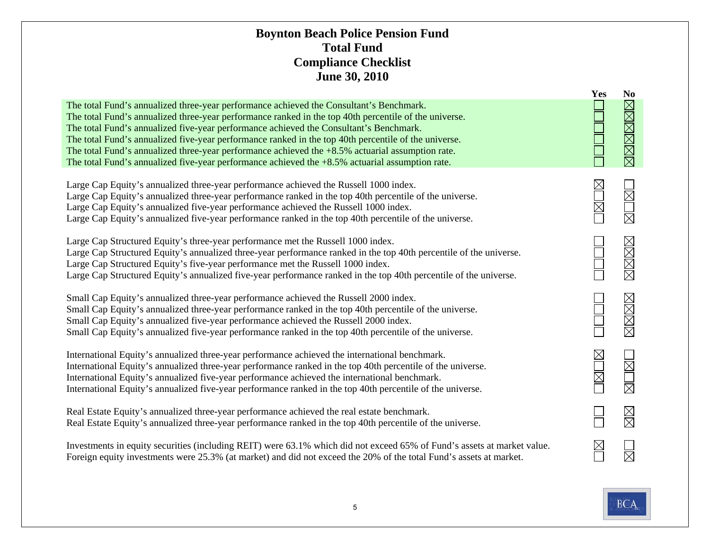### **Boynton Beach Police Pension Fund Total FundCompliance Checklist June 30, 2010**

|                                                                                                                                                                                                                                                                                                                                                                                                                                                                                                                                                                                                              | Yes                        | N <sub>0</sub> |
|--------------------------------------------------------------------------------------------------------------------------------------------------------------------------------------------------------------------------------------------------------------------------------------------------------------------------------------------------------------------------------------------------------------------------------------------------------------------------------------------------------------------------------------------------------------------------------------------------------------|----------------------------|----------------|
| The total Fund's annualized three-year performance achieved the Consultant's Benchmark.<br>The total Fund's annualized three-year performance ranked in the top 40th percentile of the universe.<br>The total Fund's annualized five-year performance achieved the Consultant's Benchmark.<br>The total Fund's annualized five-year performance ranked in the top 40th percentile of the universe.<br>The total Fund's annualized three-year performance achieved the +8.5% actuarial assumption rate.<br>The total Fund's annualized five-year performance achieved the $+8.5\%$ actuarial assumption rate. |                            | <b>NNNNNN</b>  |
| Large Cap Equity's annualized three-year performance achieved the Russell 1000 index.<br>Large Cap Equity's annualized three-year performance ranked in the top 40th percentile of the universe.<br>Large Cap Equity's annualized five-year performance achieved the Russell 1000 index.<br>Large Cap Equity's annualized five-year performance ranked in the top 40th percentile of the universe.                                                                                                                                                                                                           | <b>MU</b>                  | MOME           |
| Large Cap Structured Equity's three-year performance met the Russell 1000 index.<br>Large Cap Structured Equity's annualized three-year performance ranked in the top 40th percentile of the universe.<br>Large Cap Structured Equity's five-year performance met the Russell 1000 index.<br>Large Cap Structured Equity's annualized five-year performance ranked in the top 40th percentile of the universe.                                                                                                                                                                                               |                            | MMMR           |
| Small Cap Equity's annualized three-year performance achieved the Russell 2000 index.<br>Small Cap Equity's annualized three-year performance ranked in the top 40th percentile of the universe.<br>Small Cap Equity's annualized five-year performance achieved the Russell 2000 index.<br>Small Cap Equity's annualized five-year performance ranked in the top 40th percentile of the universe.                                                                                                                                                                                                           |                            | XXXX           |
| International Equity's annualized three-year performance achieved the international benchmark.<br>International Equity's annualized three-year performance ranked in the top 40th percentile of the universe.<br>International Equity's annualized five-year performance achieved the international benchmark.<br>International Equity's annualized five-year performance ranked in the top 40th percentile of the universe.                                                                                                                                                                                 | $\mathbb R$<br>$\boxtimes$ | E<br>卤         |
| Real Estate Equity's annualized three-year performance achieved the real estate benchmark.<br>Real Estate Equity's annualized three-year performance ranked in the top 40th percentile of the universe.                                                                                                                                                                                                                                                                                                                                                                                                      |                            | $\boxtimes$    |
| Investments in equity securities (including REIT) were 63.1% which did not exceed 65% of Fund's assets at market value.<br>Foreign equity investments were 25.3% (at market) and did not exceed the 20% of the total Fund's assets at market.                                                                                                                                                                                                                                                                                                                                                                |                            | 岗              |

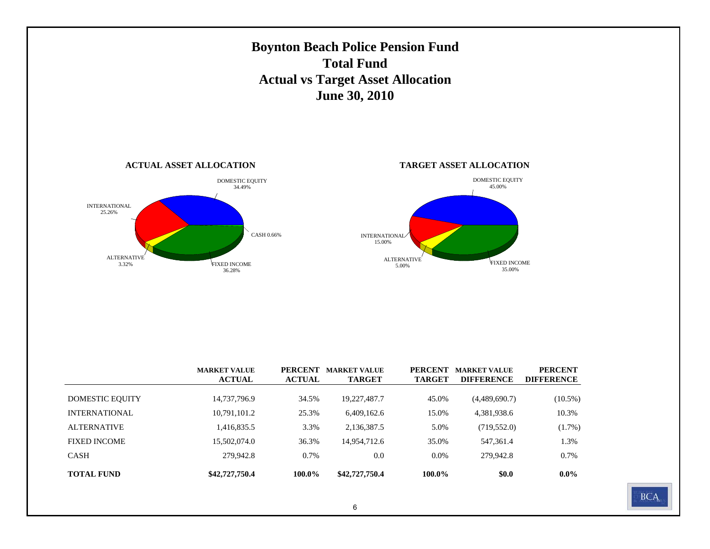

|--|

**\$42,727,750.4 100.0% \$42,727,750.4 100.0% \$0.0 0.0%**

279,942.8 0.7% 0.0 0.0% 279,942.8 0.7%

CASH

**TOTAL FUND**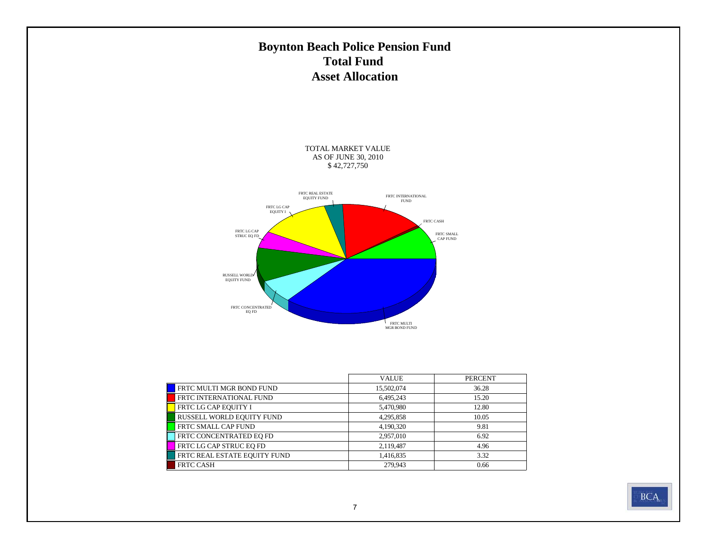## **Boynton Beach Police Pension Fund Total Fund Asset Allocation**

TOTAL MARKET VALUE AS OF JUNE 30, 2010 \$ 42,727,750



|                              | <b>VALUE</b> | <b>PERCENT</b> |
|------------------------------|--------------|----------------|
| FRTC MULTI MGR BOND FUND     | 15,502,074   | 36.28          |
| FRTC INTERNATIONAL FUND      | 6,495,243    | 15.20          |
| FRTC LG CAP EQUITY I         | 5,470,980    | 12.80          |
| RUSSELL WORLD EQUITY FUND    | 4,295,858    | 10.05          |
| FRTC SMALL CAP FUND          | 4,190,320    | 9.81           |
| FRTC CONCENTRATED EO FD      | 2,957,010    | 6.92           |
| FRTC LG CAP STRUC EQ FD      | 2,119,487    | 4.96           |
| FRTC REAL ESTATE EQUITY FUND | 1,416,835    | 3.32           |
| <b>FRTC CASH</b>             | 279,943      | 0.66           |

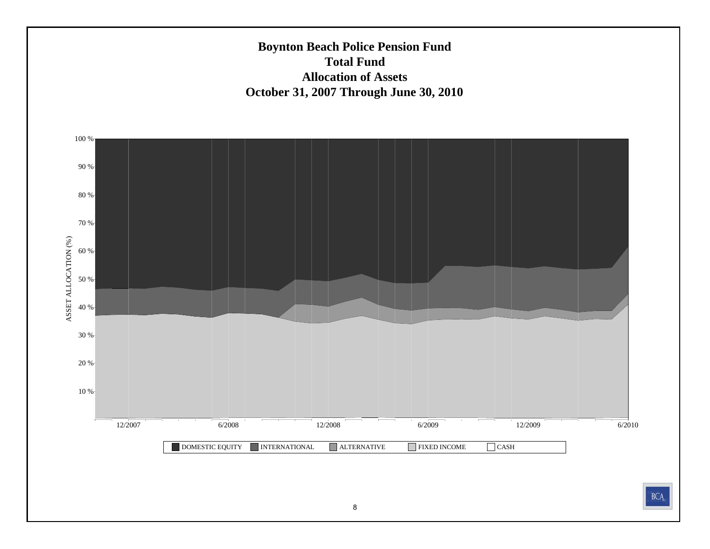**Boynton Beach Police Pension Fund Total Fund Allocation of AssetsOctober 31, 2007 Through June 30, 2010**



**BCA**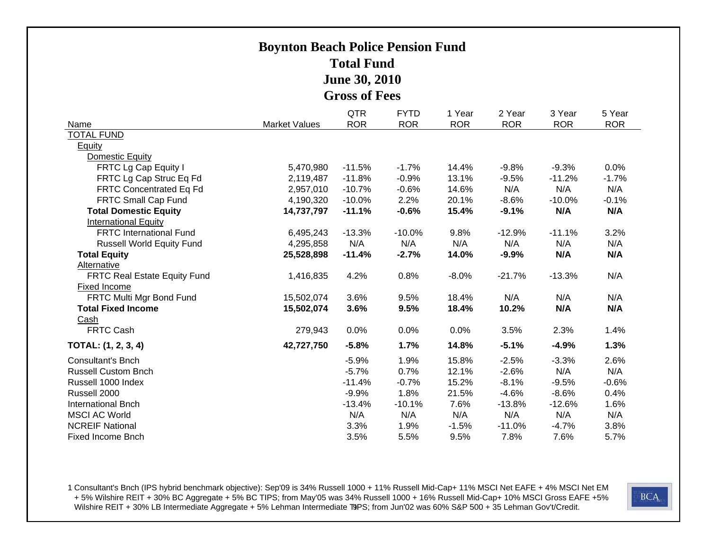## **Boynton Beach Police Pension Fund Total Fund June 30, 2010 Gross of Fees**

|                                     |                      | <b>QTR</b> | <b>FYTD</b> | 1 Year     | 2 Year     | 3 Year     | 5 Year     |
|-------------------------------------|----------------------|------------|-------------|------------|------------|------------|------------|
| Name                                | <b>Market Values</b> | <b>ROR</b> | <b>ROR</b>  | <b>ROR</b> | <b>ROR</b> | <b>ROR</b> | <b>ROR</b> |
| <b>TOTAL FUND</b>                   |                      |            |             |            |            |            |            |
| <b>Equity</b>                       |                      |            |             |            |            |            |            |
| <b>Domestic Equity</b>              |                      |            |             |            |            |            |            |
| FRTC Lg Cap Equity I                | 5,470,980            | $-11.5%$   | $-1.7%$     | 14.4%      | $-9.8%$    | $-9.3%$    | 0.0%       |
| FRTC Lg Cap Struc Eq Fd             | 2,119,487            | $-11.8%$   | $-0.9%$     | 13.1%      | $-9.5%$    | $-11.2%$   | $-1.7%$    |
| <b>FRTC Concentrated Eq Fd</b>      | 2,957,010            | $-10.7%$   | $-0.6%$     | 14.6%      | N/A        | N/A        | N/A        |
| <b>FRTC Small Cap Fund</b>          | 4,190,320            | $-10.0%$   | 2.2%        | 20.1%      | $-8.6%$    | $-10.0%$   | $-0.1%$    |
| <b>Total Domestic Equity</b>        | 14,737,797           | $-11.1%$   | $-0.6%$     | 15.4%      | $-9.1%$    | N/A        | N/A        |
| <b>International Equity</b>         |                      |            |             |            |            |            |            |
| <b>FRTC International Fund</b>      | 6,495,243            | $-13.3%$   | $-10.0%$    | 9.8%       | $-12.9%$   | $-11.1%$   | 3.2%       |
| <b>Russell World Equity Fund</b>    | 4,295,858            | N/A        | N/A         | N/A        | N/A        | N/A        | N/A        |
| <b>Total Equity</b>                 | 25,528,898           | $-11.4%$   | $-2.7%$     | 14.0%      | $-9.9%$    | N/A        | N/A        |
| Alternative                         |                      |            |             |            |            |            |            |
| <b>FRTC Real Estate Equity Fund</b> | 1,416,835            | 4.2%       | 0.8%        | $-8.0%$    | $-21.7%$   | $-13.3%$   | N/A        |
| <b>Fixed Income</b>                 |                      |            |             |            |            |            |            |
| FRTC Multi Mgr Bond Fund            | 15,502,074           | 3.6%       | 9.5%        | 18.4%      | N/A        | N/A        | N/A        |
| <b>Total Fixed Income</b>           | 15,502,074           | 3.6%       | 9.5%        | 18.4%      | 10.2%      | N/A        | N/A        |
| Cash                                |                      |            |             |            |            |            |            |
| <b>FRTC Cash</b>                    | 279,943              | 0.0%       | 0.0%        | 0.0%       | 3.5%       | 2.3%       | 1.4%       |
| TOTAL: (1, 2, 3, 4)                 | 42,727,750           | $-5.8%$    | 1.7%        | 14.8%      | $-5.1%$    | $-4.9%$    | 1.3%       |
| <b>Consultant's Bnch</b>            |                      | $-5.9%$    | 1.9%        | 15.8%      | $-2.5%$    | $-3.3%$    | 2.6%       |
| <b>Russell Custom Bnch</b>          |                      | $-5.7%$    | 0.7%        | 12.1%      | $-2.6%$    | N/A        | N/A        |
| Russell 1000 Index                  |                      | $-11.4%$   | $-0.7%$     | 15.2%      | $-8.1%$    | $-9.5%$    | $-0.6%$    |
| Russell 2000                        |                      | $-9.9%$    | 1.8%        | 21.5%      | $-4.6%$    | $-8.6%$    | 0.4%       |
| <b>International Bnch</b>           |                      | $-13.4%$   | $-10.1%$    | 7.6%       | $-13.8%$   | $-12.6%$   | 1.6%       |
| <b>MSCI AC World</b>                |                      | N/A        | N/A         | N/A        | N/A        | N/A        | N/A        |
| <b>NCREIF National</b>              |                      | 3.3%       | 1.9%        | $-1.5%$    | $-11.0%$   | $-4.7%$    | 3.8%       |
| Fixed Income Bnch                   |                      | 3.5%       | 5.5%        | 9.5%       | 7.8%       | 7.6%       | 5.7%       |

1 Consultant's Bnch (IPS hybrid benchmark objective): Sep'09 is 34% Russell 1000 + 11% Russell Mid-Cap+ 11% MSCI Net EAFE + 4% MSCI Net EM + 5% Wilshire REIT + 30% BC Aggregate + 5% BC TIPS; from May'05 was 34% Russell 1000 + 16% Russell Mid-Cap+ 10% MSCI Gross EAFE +5% Wilshire REIT + 30% LB Intermediate Aggregate + 5% Lehman Intermediate T9PS; from Jun'02 was 60% S&P 500 + 35 Lehman Gov't/Credit.

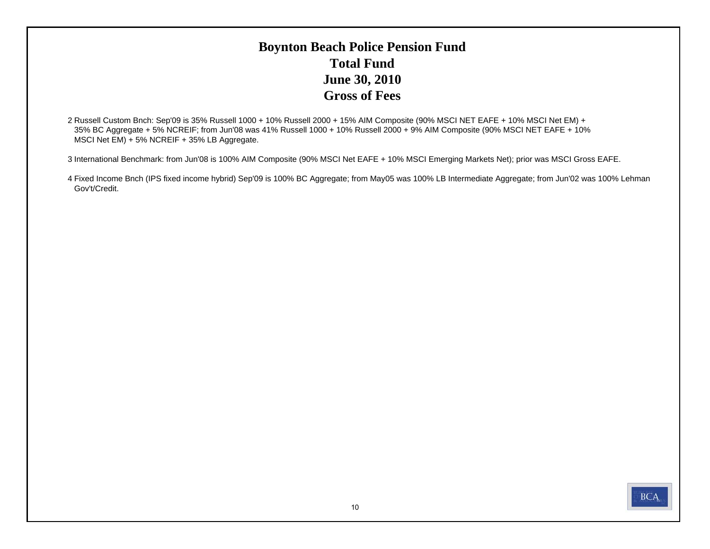## **Boynton Beach Police Pension Fund Total FundJune 30, 2010 Gross of Fees**

2 Russell Custom Bnch: Sep'09 is 35% Russell 1000 + 10% Russell 2000 + 15% AIM Composite (90% MSCI NET EAFE + 10% MSCI Net EM) + 35% BC Aggregate + 5% NCREIF; from Jun'08 was 41% Russell 1000 + 10% Russell 2000 + 9% AIM Composite (90% MSCI NET EAFE + 10% MSCI Net EM) + 5% NCREIF + 35% LB Aggregate.

3 International Benchmark: from Jun'08 is 100% AIM Composite (90% MSCI Net EAFE + 10% MSCI Emerging Markets Net); prior was MSCI Gross EAFE.

4 Fixed Income Bnch (IPS fixed income hybrid) Sep'09 is 100% BC Aggregate; from May05 was 100% LB Intermediate Aggregate; from Jun'02 was 100% Lehman Gov't/Credit.

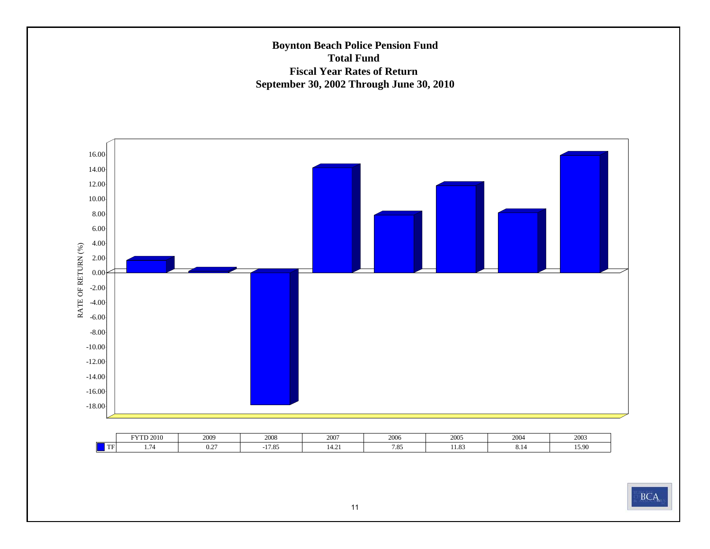### **Boynton Beach Police Pension Fund Total Fund Fiscal Year Rates of Return September 30, 2002 Through June 30, 2010**



|    | <b>FYTD 2010</b> | 2009                         | 2008           | 2007           | 2006 | 2005           | 200<br>2004 | 2003           |
|----|------------------|------------------------------|----------------|----------------|------|----------------|-------------|----------------|
| TF | -                | $\sim$ $\sim$<br>$v_{\cdot}$ | 17.05<br>17.03 | 1.4.2<br>14.21 | 7.85 | 11.02<br>11.09 | 0.14        | 15.00<br>19.YU |

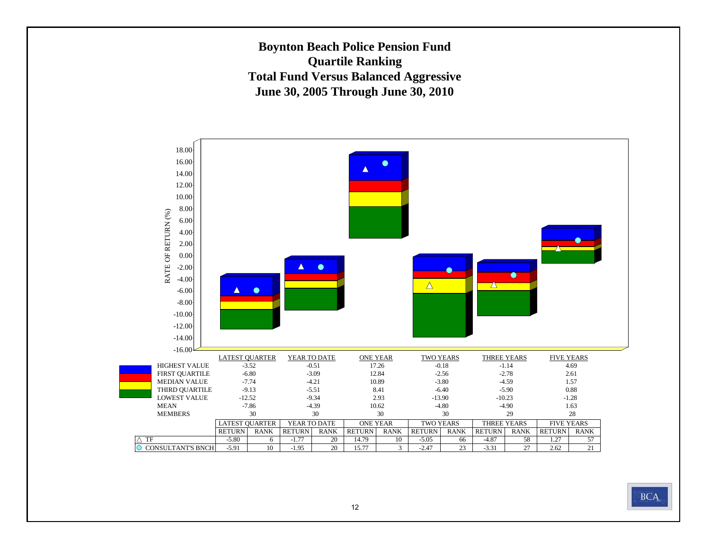**Boynton Beach Police Pension Fund Quartile Ranking Total Fund Versus Balanced Aggressive June 30, 2005 Through June 30, 2010**



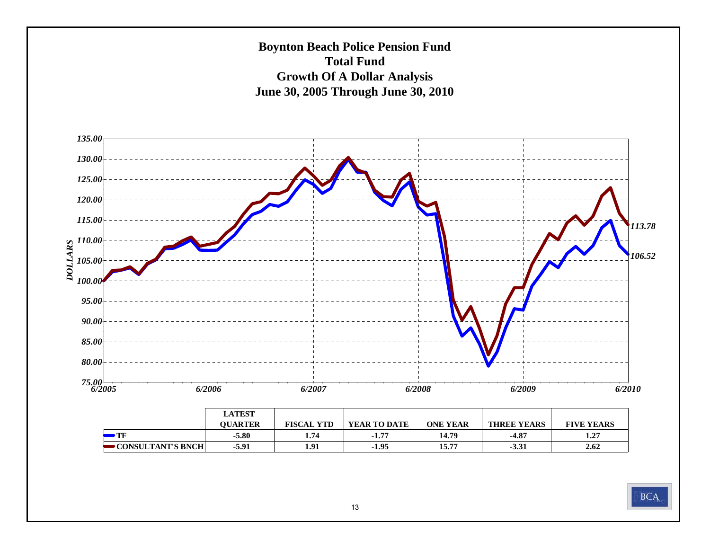

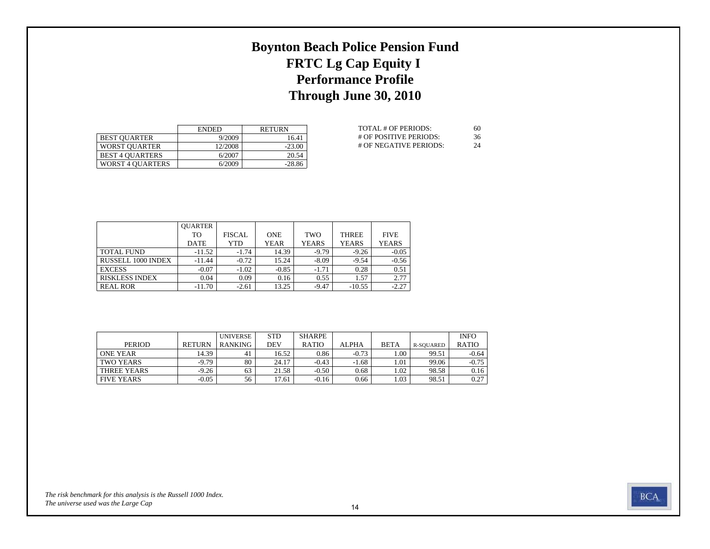# **Boynton Beach Police Pension Fund FRTC Lg Cap Equity I Performance Profile Through June 30, 2010**

|                         | <b>ENDED</b> | <b>RETURN</b> |
|-------------------------|--------------|---------------|
| <b>BEST OUARTER</b>     | 9/2009       | 16.41         |
| <b>WORST OUARTER</b>    | 12/2008      | $-23.00$      |
| <b>BEST 4 OUARTERS</b>  | 6/2007       | 20.54         |
| <b>WORST 4 OUARTERS</b> | 6/2009       | $-28.86$      |

| TOTAL # OF PERIODS:    | 60 |
|------------------------|----|
| # OF POSITIVE PERIODS: | 36 |
| # OF NEGATIVE PERIODS: | 24 |

|                           | <b>OUARTER</b> |               |             |              |              |              |
|---------------------------|----------------|---------------|-------------|--------------|--------------|--------------|
|                           | TО             | <b>FISCAL</b> | <b>ONE</b>  | TWO          | <b>THREE</b> | <b>FIVE</b>  |
|                           | <b>DATE</b>    | YTD           | <b>YEAR</b> | <b>YEARS</b> | <b>YEARS</b> | <b>YEARS</b> |
| <b>TOTAL FUND</b>         | $-11.52$       | $-1.74$       | 14.39       | $-9.79$      | $-9.26$      | $-0.05$      |
| <b>RUSSELL 1000 INDEX</b> | $-11.44$       | $-0.72$       | 15.24       | $-8.09$      | $-9.54$      | $-0.56$      |
| <b>EXCESS</b>             | $-0.07$        | $-1.02$       | $-0.85$     | $-1.71$      | 0.28         | 0.51         |
| <b>RISKLESS INDEX</b>     | 0.04           | 0.09          | 0.16        | 0.55         | 1.57         | 2.77         |
| <b>REAL ROR</b>           | $-11.70$       | $-2.61$       | 13.25       | $-9.47$      | $-10.55$     | $-2.27$      |

|                   |               | <b>UNIVERSE</b> | <b>STD</b> | <b>SHARPE</b> |              |             |                  | <b>INFO</b>  |
|-------------------|---------------|-----------------|------------|---------------|--------------|-------------|------------------|--------------|
| <b>PERIOD</b>     | <b>RETURN</b> | <b>RANKING</b>  | DEV        | <b>RATIO</b>  | <b>ALPHA</b> | <b>BETA</b> | <b>R-SOUARED</b> | <b>RATIO</b> |
| <b>ONE YEAR</b>   | 14.39         | 41              | 16.52      | 0.86          | $-0.73$      | .00         | 99.51            | $-0.64$      |
| TWO YEARS         | $-9.79$       | 80              | 24.17      | $-0.43$       | $-1.68$      | 1.01        | 99.06            | $-0.75$      |
| THREE YEARS       | $-9.26$       | 63              | 21.58      | $-0.50$       | 0.68         | 1.02        | 98.58            | 0.16         |
| <b>FIVE YEARS</b> | $-0.05$       | 56              | 17.61      | $-0.16$       | 0.66         | 1.03        | 98.51            | 0.27         |

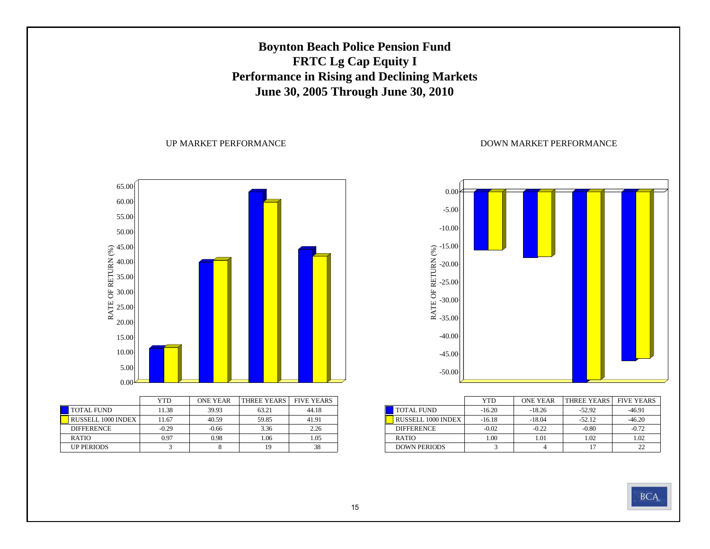## **Boynton Beach Police Pension Fund FRTC Lg Cap Equity I Performance in Rising and Declining Markets June 30, 2005 Through June 30, 2010**

#### UP MARKET PERFORMANCE



|                    | YTD     | <b>ONE YEAR</b> | THREE YEARS I | <b>FIVE YEARS</b> |
|--------------------|---------|-----------------|---------------|-------------------|
| <b>TOTAL FUND</b>  | 11.38   | 39.93           | 63.21         | 44.18             |
| RUSSELL 1000 INDEX | 11.67   | 40.59           | 59.85         | 41.91             |
| <b>DIFFERENCE</b>  | $-0.29$ | $-0.66$         | 3.36          | 2.26              |
| <b>RATIO</b>       | 0.97    | 0.98            | 1.06          | 1.05              |
| <b>UP PERIODS</b>  |         |                 | 19            | 38                |



|                           | YTD      | <b>ONE YEAR</b> | THREE YEARS | <b>FIVE YEARS</b> |
|---------------------------|----------|-----------------|-------------|-------------------|
| <b>TOTAL FUND</b>         | $-16.20$ | $-18.26$        | $-52.92$    | $-46.91$          |
| <b>RUSSELL 1000 INDEX</b> | $-16.18$ | $-18.04$        | $-52.12$    | $-46.20$          |
| <b>DIFFERENCE</b>         | $-0.02$  | $-0.22$         | $-0.80$     | $-0.72$           |
| <b>RATIO</b>              | 1.00     | 1.01            | 1.02        | 1.02              |
| <b>DOWN PERIODS</b>       |          |                 |             |                   |

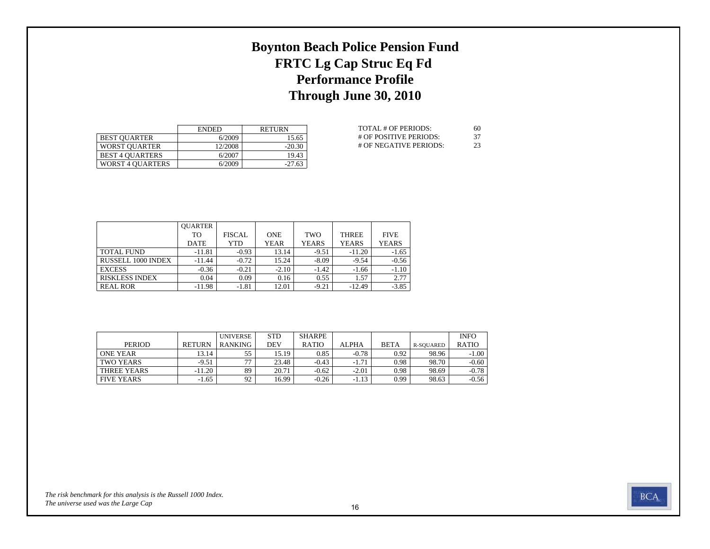# **Boynton Beach Police Pension Fund FRTC Lg Cap Struc Eq Fd Performance Profile Through June 30, 2010**

|                         | <b>ENDED</b> | <b>RETURN</b> |
|-------------------------|--------------|---------------|
| <b>BEST OUARTER</b>     | 6/2009       | 15.65         |
| <b>WORST OUARTER</b>    | 12/2008      | $-20.30$      |
| <b>BEST 4 OUARTERS</b>  | 6/2007       | 19.43         |
| <b>WORST 4 OUARTERS</b> | 6/2009       | $-27.63$      |

| TOTAL # OF PERIODS:    | 60  |
|------------------------|-----|
| # OF POSITIVE PERIODS: | -37 |
| # OF NEGATIVE PERIODS: | 23  |

|                       | <b>OUARTER</b> |               |             |              |              |              |
|-----------------------|----------------|---------------|-------------|--------------|--------------|--------------|
|                       | TO             | <b>FISCAL</b> | <b>ONE</b>  | TWO          | <b>THREE</b> | <b>FIVE</b>  |
|                       | <b>DATE</b>    | YTD           | <b>YEAR</b> | <b>YEARS</b> | <b>YEARS</b> | <b>YEARS</b> |
| <b>TOTAL FUND</b>     | $-11.81$       | $-0.93$       | 13.14       | $-9.51$      | $-11.20$     | $-1.65$      |
| RUSSELL 1000 INDEX    | $-11.44$       | $-0.72$       | 15.24       | $-8.09$      | $-9.54$      | $-0.56$      |
| <b>EXCESS</b>         | $-0.36$        | $-0.21$       | $-2.10$     | $-1.42$      | $-1.66$      | $-1.10$      |
| <b>RISKLESS INDEX</b> | 0.04           | 0.09          | 0.16        | 0.55         | 1.57         | 2.77         |
| <b>REAL ROR</b>       | $-11.98$       | $-1.81$       | 12.01       | $-9.21$      | $-12.49$     | $-3.85$      |

|                   |               | <b>UNIVERSE</b> | <b>STD</b> | <b>SHARPE</b> |              |             |           | <b>INFO</b>  |
|-------------------|---------------|-----------------|------------|---------------|--------------|-------------|-----------|--------------|
| <b>PERIOD</b>     | <b>RETURN</b> | <b>RANKING</b>  | DEV        | <b>RATIO</b>  | <b>ALPHA</b> | <b>BETA</b> | R-SOUARED | <b>RATIO</b> |
| <b>ONE YEAR</b>   | 13.14         | 55              | 15.19      | 0.85          | $-0.78$      | 0.92        | 98.96     | $-1.00$      |
| <b>TWO YEARS</b>  | $-9.51$       | $\overline{a}$  | 23.48      | $-0.43$       | $-1.71$      | 0.98        | 98.70     | $-0.60$      |
| THREE YEARS       | $-11.20$      | 89              | 20.71      | $-0.62$       | $-2.01$      | 0.98        | 98.69     | $-0.78$      |
| <b>FIVE YEARS</b> | $-1.65$       | 92              | 16.99      | $-0.26$       | $-1.13$      | 0.99        | 98.63     | $-0.56$      |

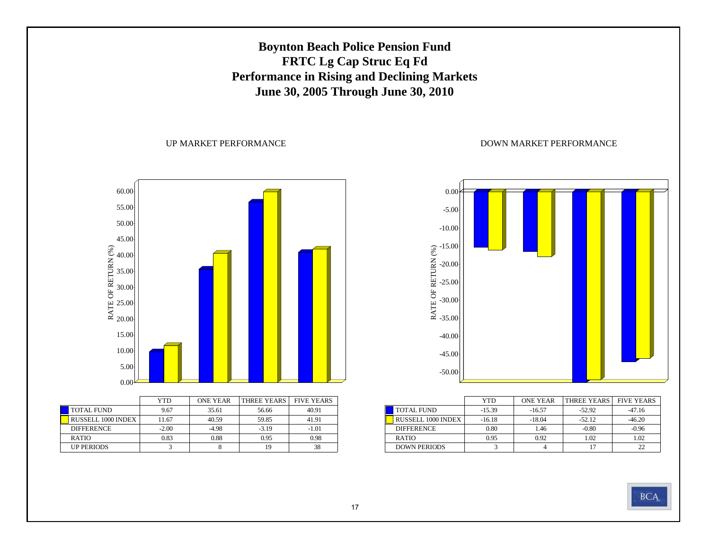## **Boynton Beach Police Pension Fund FRTC Lg Cap Struc Eq Fd Performance in Rising and Declining Markets June 30, 2005 Through June 30, 2010**

#### UP MARKET PERFORMANCE



|                    | YTD     | <b>ONE YEAR</b> | THREE YEARS FIVE YEARS |         |
|--------------------|---------|-----------------|------------------------|---------|
| <b>TOTAL FUND</b>  | 9.67    | 35.61           | 56.66                  | 40.91   |
| RUSSELL 1000 INDEX | 11.67   | 40.59           | 59.85                  | 41.91   |
| <b>DIFFERENCE</b>  | $-2.00$ | $-4.98$         | $-3.19$                | $-1.01$ |
| <b>RATIO</b>       | 0.83    | 0.88            | 0.95                   | 0.98    |
| <b>UP PERIODS</b>  |         |                 | 19                     | 38      |



|                           | <b>YTD</b> | <b>ONE YEAR</b> | THREE YEARS | <b>FIVE YEARS</b> |
|---------------------------|------------|-----------------|-------------|-------------------|
| <b>TOTAL FUND</b>         | $-15.39$   | $-16.57$        | $-52.92$    | $-47.16$          |
| <b>RUSSELL 1000 INDEX</b> | $-16.18$   | $-18.04$        | $-52.12$    | $-46.20$          |
| <b>DIFFERENCE</b>         | 0.80       | 1.46            | $-0.80$     | $-0.96$           |
| <b>RATIO</b>              | 0.95       | 0.92            | 1.02        | 1.02              |
| <b>DOWN PERIODS</b>       |            |                 |             | 22                |

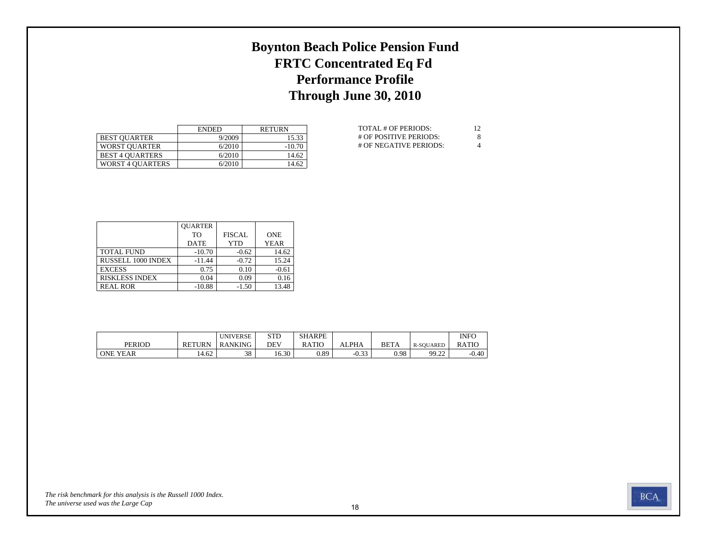# **Boynton Beach Police Pension Fund FRTC Concentrated Eq Fd Performance Profile Through June 30, 2010**

|                         | <b>ENDED</b> | <b>RETURN</b> |
|-------------------------|--------------|---------------|
| <b>BEST OUARTER</b>     | 9/2009       | 15.33         |
| WORST OUARTER           | 6/2010       | $-10.70$      |
| <b>BEST 4 OUARTERS</b>  | 6/2010       | 14.62         |
| <b>WORST 4 OUARTERS</b> | 6/2010       | 14.62         |

| TOTAL # OF PERIODS:      | 12 |
|--------------------------|----|
| # OF POSITIVE PERIODS:   | 8  |
| $#$ OF NEGATIVE PERIODS: | 4  |

|                       | <b>OUARTER</b> |               |             |
|-----------------------|----------------|---------------|-------------|
|                       | T <sub>O</sub> | <b>FISCAL</b> | <b>ONE</b>  |
|                       | <b>DATE</b>    | <b>YTD</b>    | <b>YEAR</b> |
| <b>TOTAL FUND</b>     | $-10.70$       | $-0.62$       | 14.62       |
| RUSSELL 1000 INDEX    | $-11.44$       | $-0.72$       | 15.24       |
| <b>EXCESS</b>         | 0.75           | 0.10          | $-0.61$     |
| <b>RISKLESS INDEX</b> | 0.04           | 0.09          | 0.16        |
| <b>REAL ROR</b>       | $-10.88$       | $-1.50$       | 13.48       |

|                 |               | <b>UNIVERSE</b> | <b>STD</b> | <b>SHARPE</b> |                     |             |              | <b>INFO</b> |
|-----------------|---------------|-----------------|------------|---------------|---------------------|-------------|--------------|-------------|
| <b>PERIOD</b>   | <b>RETURN</b> | RANKING         | DE۱        | RATIO         | ALPHA               | <b>BETA</b> | R-SOUARED    | RATIC       |
| <b>ONE YEAR</b> | 62<br>14.VZ   | 38              | 16.30      | 0.89          | $\sim$ ^^<br>$-U.5$ | 0.98        | 99.22<br>ے۔۔ | $-0.40$     |

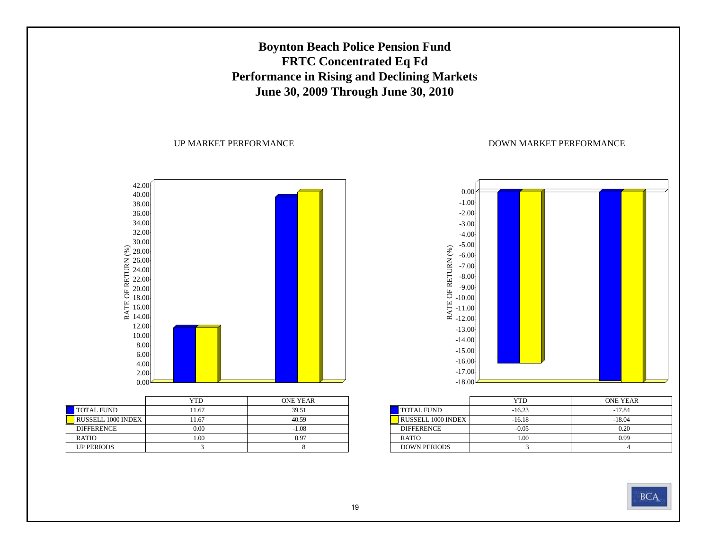## **Boynton Beach Police Pension Fund FRTC Concentrated Eq Fd Performance in Rising and Declining Markets June 30, 2009 Through June 30, 2010**

#### UP MARKET PERFORMANCE



|                    | YTD   | <b>ONE YEAR</b> |
|--------------------|-------|-----------------|
| <b>TOTAL FUND</b>  | 11.67 | 39.51           |
| RUSSELL 1000 INDEX | 11.67 | 40.59           |
| <b>DIFFERENCE</b>  | 0.00  | $-1.08$         |
| <b>RATIO</b>       | 0.00  | 0.97            |
| <b>UP PERIODS</b>  |       |                 |



|                           | <b>YTD</b> | <b>ONE YEAR</b> |
|---------------------------|------------|-----------------|
| <b>TOTAL FUND</b>         | $-16.23$   | $-17.84$        |
| <b>RUSSELL 1000 INDEX</b> | $-16.18$   | $-18.04$        |
| <b>DIFFERENCE</b>         | $-0.05$    | 0.20            |
| <b>RATIO</b>              | 1.00       | 0.99            |
| <b>DOWN PERIODS</b>       |            |                 |

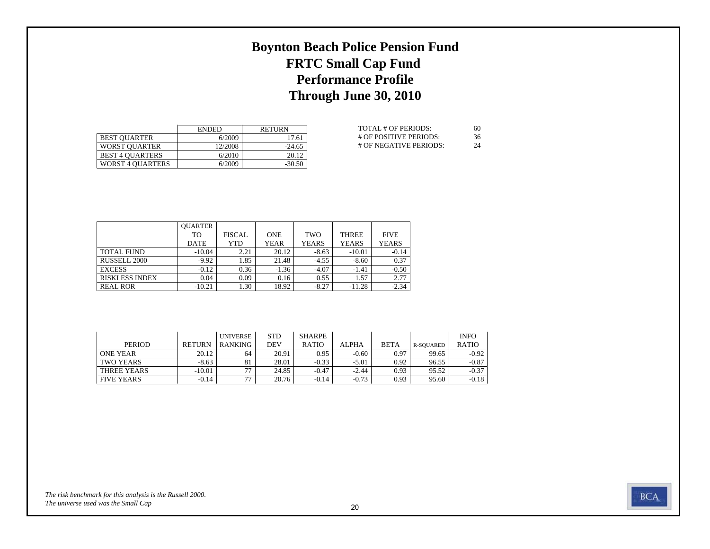# **Boynton Beach Police Pension Fund FRTC Small Cap Fund Performance Profile Through June 30, 2010**

|                         | <b>ENDED</b> | <b>RETURN</b> |
|-------------------------|--------------|---------------|
| <b>BEST OUARTER</b>     | 6/2009       | 17.61         |
| <b>WORST OUARTER</b>    | 12/2008      | $-24.65$      |
| <b>BEST 4 OUARTERS</b>  | 6/2010       | 20.12         |
| <b>WORST 4 OUARTERS</b> | 6/2009       | $-30.50$      |

| TOTAL # OF PERIODS:    | 60 |
|------------------------|----|
| # OF POSITIVE PERIODS: | 36 |
| # OF NEGATIVE PERIODS: | 24 |

|                       | <b>OUARTER</b> |               |             |              |              |              |
|-----------------------|----------------|---------------|-------------|--------------|--------------|--------------|
|                       | TO             | <b>FISCAL</b> | <b>ONE</b>  | TWO          | <b>THREE</b> | <b>FIVE</b>  |
|                       | <b>DATE</b>    | YTD           | <b>YEAR</b> | <b>YEARS</b> | <b>YEARS</b> | <b>YEARS</b> |
| <b>TOTAL FUND</b>     | $-10.04$       | 2.21          | 20.12       | $-8.63$      | $-10.01$     | $-0.14$      |
| RUSSELL 2000          | $-9.92$        | 1.85          | 21.48       | $-4.55$      | $-8.60$      | 0.37         |
| <b>EXCESS</b>         | $-0.12$        | 0.36          | $-1.36$     | $-4.07$      | $-1.41$      | $-0.50$      |
| <b>RISKLESS INDEX</b> | 0.04           | 0.09          | 0.16        | 0.55         | 1.57         | 2.77         |
| <b>REAL ROR</b>       | $-10.21$       | 1.30          | 18.92       | $-8.27$      | $-11.28$     | $-2.34$      |

|                   |               | <b>UNIVERSE</b> | <b>STD</b> | <b>SHARPE</b> |              |             |           | <b>INFO</b>  |
|-------------------|---------------|-----------------|------------|---------------|--------------|-------------|-----------|--------------|
| <b>PERIOD</b>     | <b>RETURN</b> | <b>RANKING</b>  | DEV        | <b>RATIO</b>  | <b>ALPHA</b> | <b>BETA</b> | R-SOUARED | <b>RATIO</b> |
| <b>ONE YEAR</b>   | 20.12         | 64              | 20.91      | 0.95          | $-0.60$      | 0.97        | 99.65     | $-0.92$      |
| <b>TWO YEARS</b>  | $-8.63$       | 81              | 28.01      | $-0.33$       | $-5.01$      | 0.92        | 96.55     | $-0.87$      |
| THREE YEARS       | $-10.01$      | $\overline{a}$  | 24.85      | $-0.47$       | $-2.44$      | 0.93        | 95.52     | $-0.37$      |
| <b>FIVE YEARS</b> | $-0.14$       | $\overline{a}$  | 20.76      | $-0.14$       | $-0.73$      | 0.93        | 95.60     | $-0.18$      |

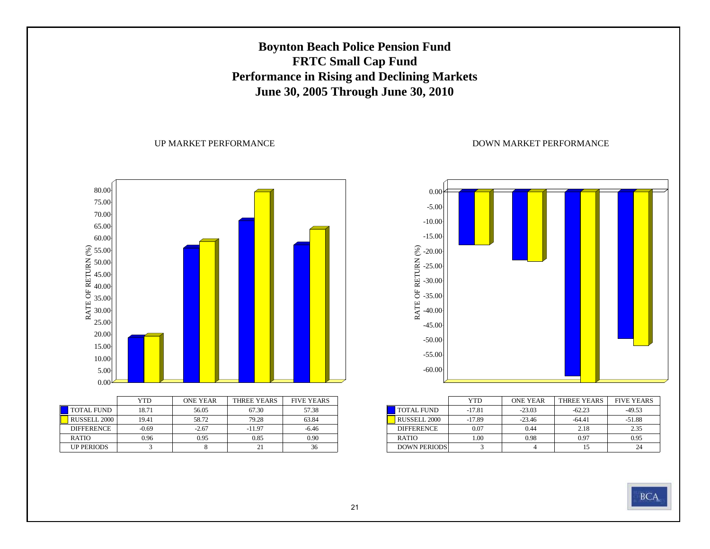## **Boynton Beach Police Pension Fund FRTC Small Cap Fund Performance in Rising and Declining Markets June 30, 2005 Through June 30, 2010**

#### UP MARKET PERFORMANCE





|                     | YTD      | <b>ONE YEAR</b> | THREE YEARS | <b>FIVE YEARS</b> |
|---------------------|----------|-----------------|-------------|-------------------|
| <b>TOTAL FUND</b>   | $-17.81$ | $-23.03$        | $-62.23$    | $-49.53$          |
| <b>RUSSELL 2000</b> | $-17.89$ | $-23.46$        | $-64.41$    | $-51.88$          |
| <b>DIFFERENCE</b>   | 0.07     | 0.44            | 2.18        | 2.35              |
| <b>RATIO</b>        | 1.00     | 0.98            | 0.97        | 0.95              |
| <b>DOWN PERIODS</b> |          |                 | 15          | 24                |

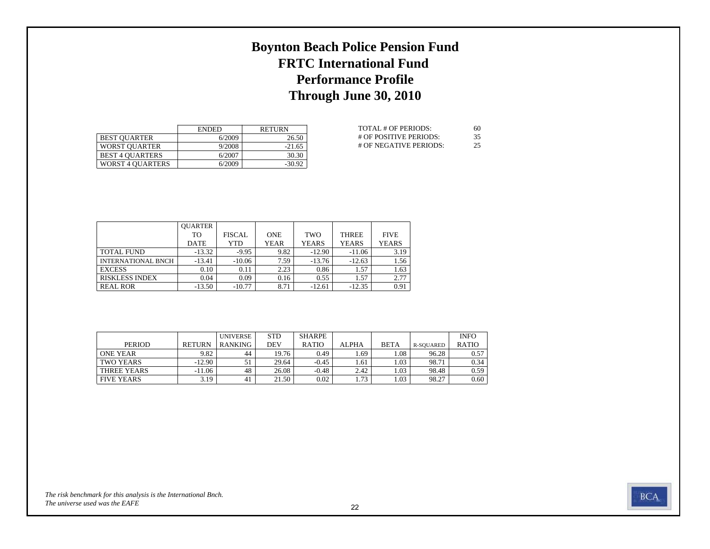# **Boynton Beach Police Pension Fund FRTC International Fund Performance Profile Through June 30, 2010**

|                         | <b>ENDED</b> | <b>RETURN</b> |
|-------------------------|--------------|---------------|
| <b>BEST OUARTER</b>     | 6/2009       | 26.50         |
| <b>WORST OUARTER</b>    | 9/2008       | $-21.65$      |
| <b>BEST 4 OUARTERS</b>  | 6/2007       | 30.30         |
| <b>WORST 4 OUARTERS</b> | 6/2009       | $-30.92$      |

| TOTAL # OF PERIODS:    | 60 |
|------------------------|----|
| # OF POSITIVE PERIODS: | 35 |
| # OF NEGATIVE PERIODS: | 25 |

|                       | <b>OUARTER</b> |               |             |              |              |              |
|-----------------------|----------------|---------------|-------------|--------------|--------------|--------------|
|                       | TО             | <b>FISCAL</b> | <b>ONE</b>  | TWO          | <b>THREE</b> | <b>FIVE</b>  |
|                       | <b>DATE</b>    | YTD           | <b>YEAR</b> | <b>YEARS</b> | <b>YEARS</b> | <b>YEARS</b> |
| <b>TOTAL FUND</b>     | $-13.32$       | $-9.95$       | 9.82        | $-12.90$     | $-11.06$     | 3.19         |
| INTERNATIONAL BNCH    | $-13.41$       | $-10.06$      | 7.59        | $-13.76$     | $-12.63$     | 1.56         |
| <b>EXCESS</b>         | 0.10           | 0.11          | 2.23        | 0.86         | 1.57         | 1.63         |
| <b>RISKLESS INDEX</b> | 0.04           | 0.09          | 0.16        | 0.55         | 1.57         | 2.77         |
| <b>REAL ROR</b>       | $-13.50$       | $-10.77$      | 8.71        | $-12.61$     | $-12.35$     | 0.91         |

|                   |               | <b>UNIVERSE</b> | <b>STD</b> | <b>SHARPE</b> |              |             |           | <b>INFO</b>  |
|-------------------|---------------|-----------------|------------|---------------|--------------|-------------|-----------|--------------|
| <b>PERIOD</b>     | <b>RETURN</b> | <b>RANKING</b>  | DEV        | <b>RATIO</b>  | <b>ALPHA</b> | <b>BETA</b> | R-SOUARED | <b>RATIO</b> |
| <b>ONE YEAR</b>   | 9.82          | 44              | 19.76      | 0.49          | 1.69         | .08         | 96.28     | 0.57         |
| TWO YEARS         | $-12.90$      |                 | 29.64      | $-0.45$       | 1.61         | 1.03        | 98.71     | 0.34         |
| THREE YEARS       | $-11.06$      | 48              | 26.08      | $-0.48$       | 2.42         | 1.03        | 98.48     | 0.59         |
| <b>FIVE YEARS</b> | 3.19          | 41              | 21.50      | 0.02          | 1.73         | 1.03        | 98.27     | 0.60         |

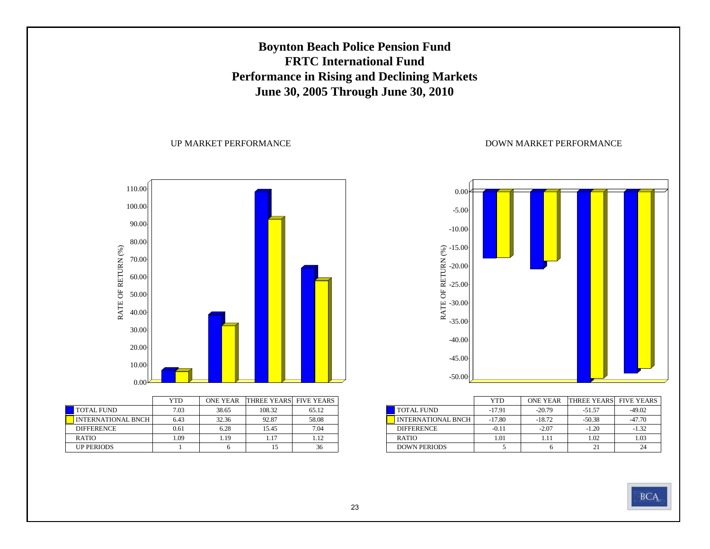## **Boynton Beach Police Pension Fund FRTC International FundPerformance in Rising and Declining Markets June 30, 2005 Through June 30, 2010**

UP MARKET PERFORMANCE



|                           | <b>YTD</b> | <b>ONE YEAR</b> | <b>THREE YEARS FIVE YEARS</b> |       |
|---------------------------|------------|-----------------|-------------------------------|-------|
| <b>TOTAL FUND</b>         | 7.03       | 38.65           | 108.32                        | 65.12 |
| <b>INTERNATIONAL BNCH</b> | 6.43       | 32.36           | 92.87                         | 58.08 |
| <b>DIFFERENCE</b>         | 0.61       | 6.28            | 15.45                         | 7.04  |
| <b>RATIO</b>              | 1.09       | 1.19            | 1.17                          | 1.12  |
| <b>UP PERIODS</b>         |            |                 |                               | 36    |



|                           | YTD      | <b>ONE YEAR</b> | <b>THREE YEARS</b> FIVE YEARS |          |
|---------------------------|----------|-----------------|-------------------------------|----------|
| <b>TOTAL FUND</b>         | $-17.91$ | $-20.79$        | $-51.57$                      | $-49.02$ |
| <b>INTERNATIONAL BNCH</b> | $-17.80$ | $-18.72$        | $-50.38$                      | $-47.70$ |
| <b>DIFFERENCE</b>         | $-0.11$  | $-2.07$         | $-1.20$                       | $-1.32$  |
| <b>RATIO</b>              | 1.01     | 1.11            | 1.02                          | 1.03     |
| <b>DOWN PERIODS</b>       |          |                 |                               |          |

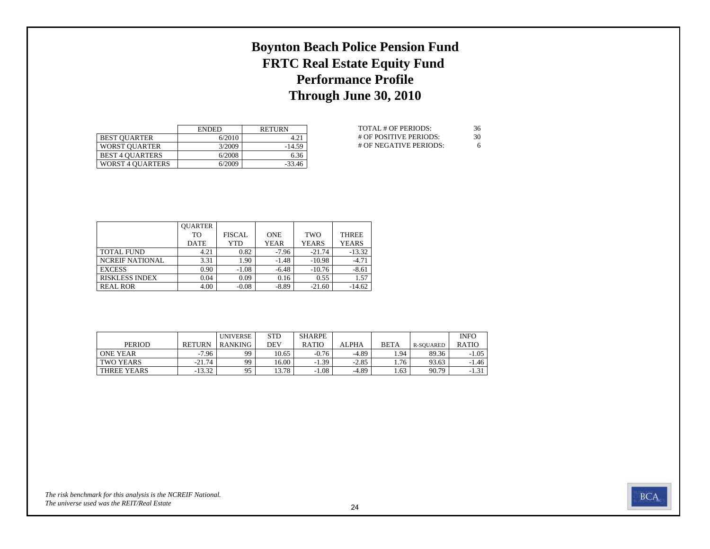# **Boynton Beach Police Pension Fund FRTC Real Estate Equity Fund Performance Profile Through June 30, 2010**

|                         | <b>ENDED</b> | <b>RETURN</b> |
|-------------------------|--------------|---------------|
| <b>BEST OUARTER</b>     | 6/2010       | 4.21          |
| <b>WORST OUARTER</b>    | 3/2009       | $-14.59$      |
| <b>BEST 4 OUARTERS</b>  | 6/2008       | 6.36          |
| <b>WORST 4 OUARTERS</b> | 6/2009       | $-33.46$      |

| TOTAL # OF PERIODS:    | 36 |
|------------------------|----|
| # OF POSITIVE PERIODS: | 30 |
| # OF NEGATIVE PERIODS: | 6  |

|                        | <b>OUARTER</b> |               |             |              |              |
|------------------------|----------------|---------------|-------------|--------------|--------------|
|                        | TО             | <b>FISCAL</b> | <b>ONE</b>  | <b>TWO</b>   | <b>THREE</b> |
|                        | <b>DATE</b>    | <b>YTD</b>    | <b>YEAR</b> | <b>YEARS</b> | <b>YEARS</b> |
| <b>TOTAL FUND</b>      | 4.21           | 0.82          | -7.96       | $-21.74$     | $-13.32$     |
| <b>NCREIF NATIONAL</b> | 3.31           | 1.90          | $-1.48$     | $-10.98$     | $-4.71$      |
| <b>EXCESS</b>          | 0.90           | $-1.08$       | $-6.48$     | $-10.76$     | $-8.61$      |
| <b>RISKLESS INDEX</b>  | 0.04           | 0.09          | 0.16        | 0.55         | 1.57         |
| <b>REAL ROR</b>        | 4.00           | $-0.08$       | $-8.89$     | $-21.60$     | $-14.62$     |

|                 |          | <b>UNIVERSE</b> | <b>STD</b> | <b>SHARPE</b> |         |             |           | <b>INFO</b>  |
|-----------------|----------|-----------------|------------|---------------|---------|-------------|-----------|--------------|
| <b>PERIOD</b>   | RETURN   | RANKING         | DEV        | <b>RATIO</b>  | ALPHA   | <b>BETA</b> | R-SOUARED | <b>RATIO</b> |
| <b>ONE YEAR</b> | $-7.96$  | 99              | 10.65      | $-0.76$       | $-4.89$ | . 94        | 89.36     | $-1.05$      |
| TWO YEARS       | $-21.74$ | 99              | 16.00      | $-1.39$       | $-2.85$ | 1.76        | 93.63     | $-1.46$      |
| THREE YEARS     | $-13.32$ | 95              | 13.78      | 1.08          | $-4.89$ | 1.63        | 90.79     | $-1.31$      |

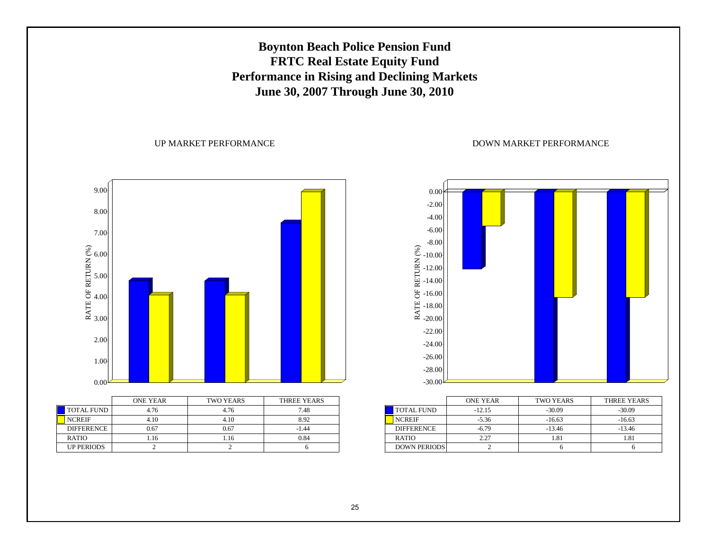## **Boynton Beach Police Pension Fund FRTC Real Estate Equity Fund Performance in Rising and Declining Markets June 30, 2007 Through June 30, 2010**

#### UP MARKET PERFORMANCE

RATE OF RETURN (%) 9.00 8.00 7.00 6.00 5.00 4.00 3.00 2.001.00 0.00ONE YEARTWO YEARS THREE YEARS

| TOTAL FUND        | 4.76 | 4.76 | 7.48    |
|-------------------|------|------|---------|
| <b>NCREIF</b>     | 4.10 | 4.10 | 8.92    |
| <b>DIFFERENCE</b> | 0.67 | 0.67 | $-1.44$ |
| <b>RATIO</b>      | .16  | . 16 | 0.84    |
| <b>UP PERIODS</b> |      |      |         |



|                     | <b>ONE YEAR</b> | <b>TWO YEARS</b> | THREE YEARS |
|---------------------|-----------------|------------------|-------------|
| <b>TOTAL FUND</b>   | $-12.15$        | $-30.09$         | $-30.09$    |
| <b>NCREIF</b>       | $-5.36$         | $-16.63$         | $-16.63$    |
| <b>DIFFERENCE</b>   | $-679$          | $-13.46$         | $-13.46$    |
| <b>RATIO</b>        | 2.27            | 1.81             | .81         |
| <b>DOWN PERIODS</b> |                 |                  |             |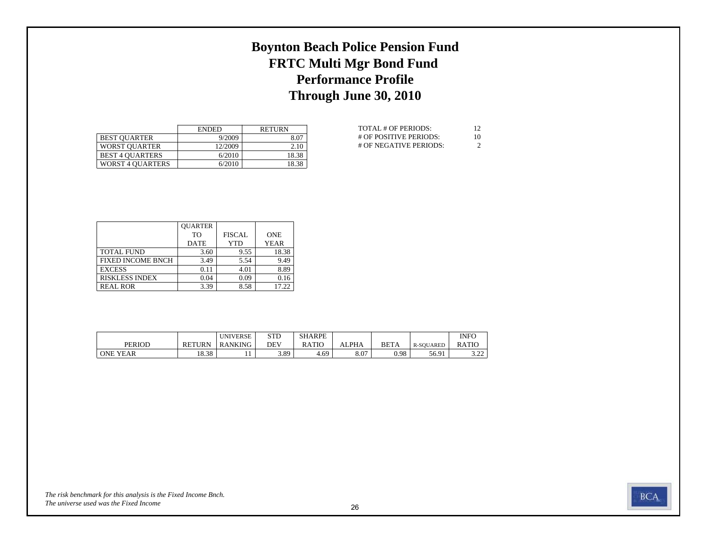# **Boynton Beach Police Pension Fund FRTC Multi Mgr Bond Fund Performance Profile Through June 30, 2010**

|                         | <b>ENDED</b> | <b>RETURN</b> |
|-------------------------|--------------|---------------|
| <b>BEST OUARTER</b>     | 9/2009       | 8.07          |
| <b>WORST OUARTER</b>    | 12/2009      | 2.10          |
| <b>BEST 4 OUARTERS</b>  | 6/2010       | 18.38         |
| <b>WORST 4 QUARTERS</b> | 6/2010       | 18.38         |

| TOTAL # OF PERIODS:    | 12            |
|------------------------|---------------|
| # OF POSITIVE PERIODS: | 10            |
| # OF NEGATIVE PERIODS: | $\mathcal{D}$ |

|                          | <b>OUARTER</b> |               |             |
|--------------------------|----------------|---------------|-------------|
|                          | T <sub>O</sub> | <b>FISCAL</b> | <b>ONE</b>  |
|                          | <b>DATE</b>    | YTD           | <b>YEAR</b> |
| <b>TOTAL FUND</b>        | 3.60           | 9.55          | 18.38       |
| <b>FIXED INCOME BNCH</b> | 3.49           | 5.54          | 9.49        |
| <b>EXCESS</b>            | 0.11           | 4.01          | 8.89        |
| <b>RISKLESS INDEX</b>    | 0.04           | 0.09          | 0.16        |
| <b>REAL ROR</b>          | 3.39           | 8.58          | 17.22       |

|                 |                | <b>UNIVERSE</b> | <b>STD</b> | <b>SHARPE</b> |       |             |                  | <b>INFO</b>   |
|-----------------|----------------|-----------------|------------|---------------|-------|-------------|------------------|---------------|
| <b>PERIOD</b>   | <b>RETURN</b>  | RANKING         | <b>DEV</b> | RATIO         | ALPHA | <b>BETA</b> | <b>R-SOUARED</b> | <b>RATIC</b>  |
| <b>ONE YEAR</b> | 10 20<br>18.38 | . .             | 3.89       | $+0.69$       | 8.07  | 0.98        | 56.91            | 2.22<br>ے ۔۔۔ |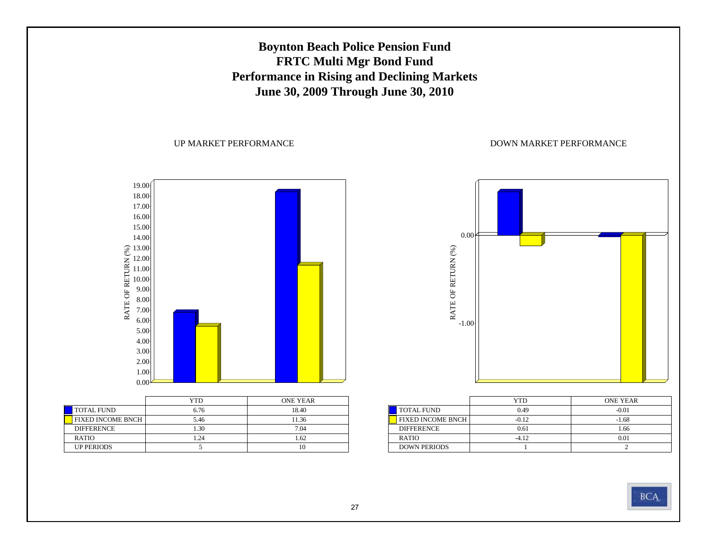## **Boynton Beach Police Pension Fund FRTC Multi Mgr Bond Fund Performance in Rising and Declining Markets June 30, 2009 Through June 30, 2010**

UP MARKET PERFORMANCE

RATE OF RETURN (%) 19.00 18.0017.00 16.0015.00 14.0013.00<br>
12.00<br>
11.00<br>
9.00<br>
8.00<br>
7.00<br>
6.00 5.00 4.00 3.00 2.00 1.000.00

|                          | YTD  | <b>ONE YEAR</b> |
|--------------------------|------|-----------------|
| <b>TOTAL FUND</b>        | 6.76 | 18.40           |
| <b>FIXED INCOME BNCH</b> | 5.46 | 11.36           |
| <b>DIFFERENCE</b>        | 1.30 | 7.04            |
| <b>RATIO</b>             | 1.24 | 1.62            |
| <b>UP PERIODS</b>        |      |                 |



|                          | YTD     | <b>ONE YEAR</b> |
|--------------------------|---------|-----------------|
| <b>TOTAL FUND</b>        | 0.49    | $-0.01$         |
| <b>FIXED INCOME BNCH</b> | $-0.12$ | $-1.68$         |
| <b>DIFFERENCE</b>        | 0.61    | 1.66            |
| <b>RATIO</b>             | $-4.12$ | 0.01            |
| <b>DOWN PERIODS</b>      |         |                 |

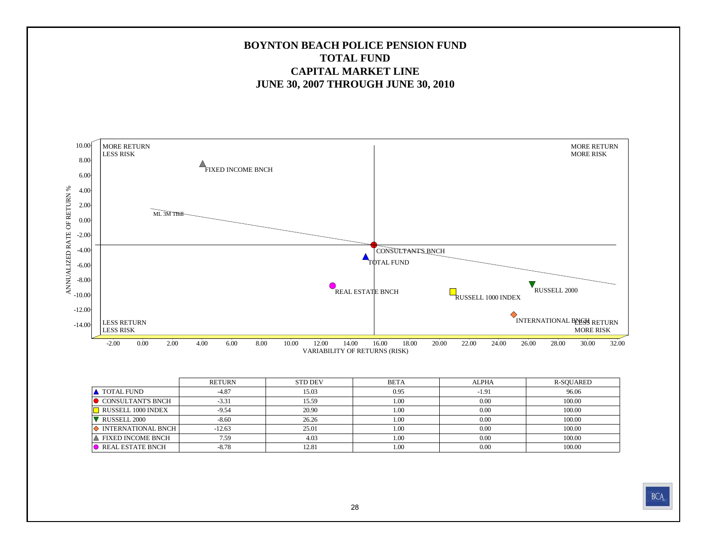### **BOYNTON BEACH POLICE PENSION FUNDTOTAL FUNDCAPITAL MARKET LINEJUNE 30, 2007 THROUGH JUNE 30, 2010**



|                          | <b>RETURN</b> | <b>STD DEV</b> | <b>BETA</b> | <b>ALPHA</b> | R-SOUARED |
|--------------------------|---------------|----------------|-------------|--------------|-----------|
| TOTAL FUND               | $-4.87$       | 15.03          | 0.95        | $-1.91$      | 96.06     |
| CONSULTANT'S BNCH        | $-3.31$       | 15.59          | 1.00        | 0.00         | 100.00    |
| RUSSELL 1000 INDEX       | $-9.54$       | 20.90          | 1.00        | 0.00         | 100.00    |
| RUSSELL 2000             | $-8.60$       | 26.26          | 1.00        | 0.00         | 100.00    |
| INTERNATIONAL BNCH       | $-12.63$      | 25.01          | 1.00        | 0.00         | 100.00    |
| <b>FIXED INCOME BNCH</b> | 7.59          | 4.03           | 1.00        | 0.00         | 100.00    |
| REAL ESTATE BNCH         | $-8.78$       | 12.81          | 1.00        | 0.00         | 100.00    |

**BCA**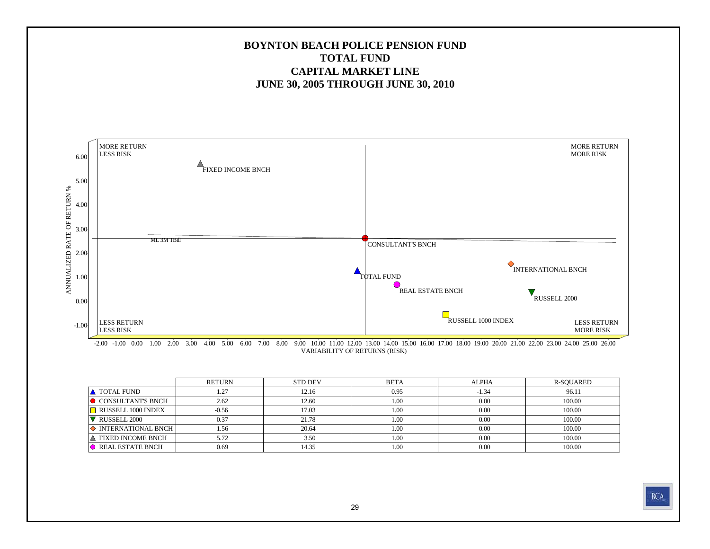### **BOYNTON BEACH POLICE PENSION FUND TOTAL FUNDCAPITAL MARKET LINEJUNE 30, 2005 THROUGH JUNE 30, 2010**



VARIABILITY OF RETURNS (RISK) -2.00 -1.00 0.00 1.00 2.00 3.00 4.00 5.00 6.00 7.00 8.00 9.00 10.00 11.00 12.00 13.00 14.00 15.00 16.00 17.00 18.00 19.00 20.00 21.00 22.00 23.00 24.00 25.00 26.00

|                               | RETURN  | <b>STD DEV</b> | <b>BETA</b> | <b>ALPHA</b> | R-SOUARED |  |
|-------------------------------|---------|----------------|-------------|--------------|-----------|--|
| <b>A</b> TOTAL FUND           | 1.27    | 12.16          | 0.95        | $-1.34$      | 96.11     |  |
| $\bullet$ CONSULTANT'S BNCH   | 2.62    | 12.60          | 1.00        | 0.00         | 100.00    |  |
| RUSSELL 1000 INDEX            | $-0.56$ | 17.03          | 1.00        | 0.00         | 100.00    |  |
| RUSSELL 2000                  | 0.37    | 21.78          | 1.00        | 0.00         | 100.00    |  |
| $\Diamond$ INTERNATIONAL BNCH | 1.56    | 20.64          | 1.00        | 0.00         | 100.00    |  |
| ∣▲ FIXED INCOME BNCH          | 5.72    | 3.50           | 1.00        | 0.00         | 100.00    |  |
| REAL ESTATE BNCH              | 0.69    | 14.35          | 1.00        | 0.00         | 100.00    |  |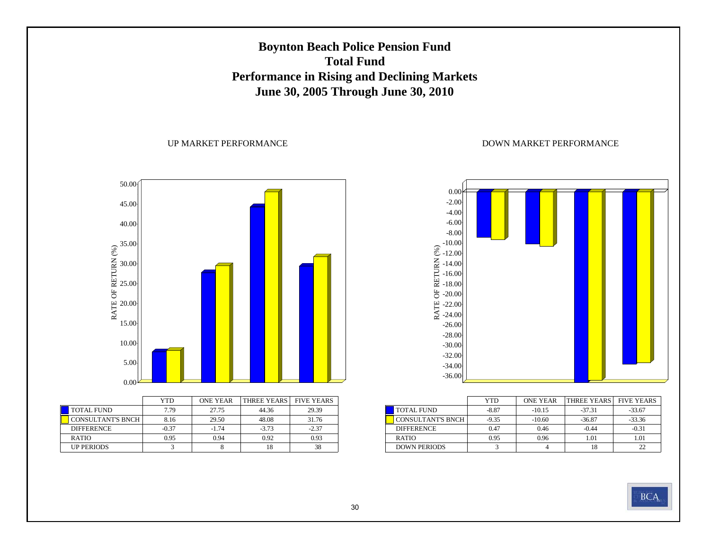## **Boynton Beach Police Pension Fund Total FundPerformance in Rising and Declining Markets June 30, 2005 Through June 30, 2010**

#### UP MARKET PERFORMANCE



|                          | <b>YTD</b> | <b>ONE YEAR</b> | THREE YEARS FIVE YEARS |         |
|--------------------------|------------|-----------------|------------------------|---------|
| <b>TOTAL FUND</b>        | 7.79       | 27.75           | 44.36                  | 29.39   |
| <b>CONSULTANT'S BNCH</b> | 8.16       | 29.50           | 48.08                  | 31.76   |
| <b>DIFFERENCE</b>        | $-0.37$    | $-1.74$         | $-3.73$                | $-2.37$ |
| <b>RATIO</b>             | 0.95       | 0.94            | 0.92                   | 0.93    |
| <b>UP PERIODS</b>        |            |                 | 18                     | 38      |



|                          | <b>YTD</b> | <b>ONE YEAR</b> | <b>THREE YEARS</b> | <b>FIVE YEARS</b> |
|--------------------------|------------|-----------------|--------------------|-------------------|
| <b>TOTAL FUND</b>        | $-8.87$    | $-10.15$        | $-37.31$           | $-33.67$          |
| <b>CONSULTANT'S BNCH</b> | $-9.35$    | $-10.60$        | $-36.87$           | $-33.36$          |
| <b>DIFFERENCE</b>        | 0.47       | 0.46            | $-0.44$            | $-0.31$           |
| <b>RATIO</b>             | 0.95       | 0.96            | 1.01               | 1.01              |
| <b>DOWN PERIODS</b>      |            |                 | 18                 |                   |

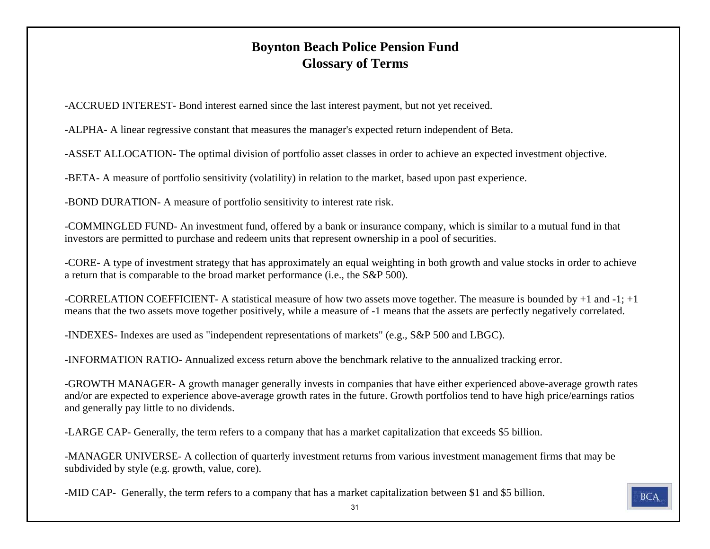## **Boynton Beach Police Pension Fund Glossary of Terms**

-ACCRUED INTEREST- Bond interest earned since the last interest payment, but not yet received.

-ALPHA- A linear regressive constant that measures the manager's expected return independent of Beta.

-ASSET ALLOCATION- The optimal division of portfolio asset classes in order to achieve an expected investment objective.

-BETA- A measure of portfolio sensitivity (volatility) in relation to the market, based upon past experience.

-BOND DURATION- A measure of portfolio sensitivity to interest rate risk.

-COMMINGLED FUND- An investment fund, offered by a bank or insurance company, which is similar to a mutual fund in that investors are permitted to purchase and redeem units that represent ownership in a pool of securities.

-CORE- A type of investment strategy that has approximately an equal weighting in both growth and value stocks in order to achieve a return that is comparable to the broad market performance (i.e., the S&P 500).

-CORRELATION COEFFICIENT- A statistical measure of how two assets move together. The measure is bounded by +1 and -1; +1 means that the two assets move together positively, while a measure of -1 means that the assets are perfectly negatively correlated.

-INDEXES- Indexes are used as "independent representations of markets" (e.g., S&P 500 and LBGC).

-INFORMATION RATIO- Annualized excess return above the benchmark relative to the annualized tracking error.

-GROWTH MANAGER- A growth manager generally invests in companies that have either experienced above-average growth rates and/or are expected to experience above-average growth rates in the future. Growth portfolios tend to have high price/earnings ratios and generally pay little to no dividends.

-LARGE CAP- Generally, the term refers to a company that has a market capitalization that exceeds \$5 billion.

-MANAGER UNIVERSE- A collection of quarterly investment returns from various investment management firms that may be subdivided by style (e.g. growth, value, core).

-MID CAP- Generally, the term refers to a company that has a market capitalization between \$1 and \$5 billion.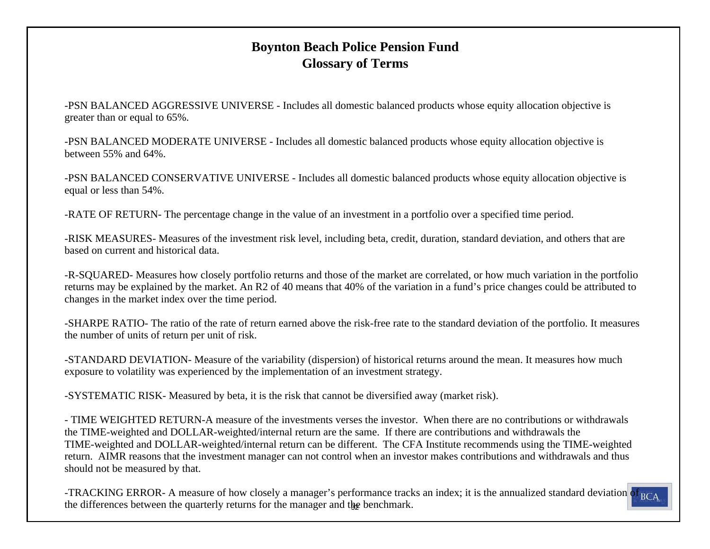## **Boynton Beach Police Pension Fund Glossary of Terms**

-PSN BALANCED AGGRESSIVE UNIVERSE - Includes all domestic balanced products whose equity allocation objective is greater than or equal to 65%.

-PSN BALANCED MODERATE UNIVERSE - Includes all domestic balanced products whose equity allocation objective is between 55% and 64%.

-PSN BALANCED CONSERVATIVE UNIVERSE - Includes all domestic balanced products whose equity allocation objective is equal or less than 54%.

-RATE OF RETURN- The percentage change in the value of an investment in a portfolio over a specified time period.

-RISK MEASURES- Measures of the investment risk level, including beta, credit, duration, standard deviation, and others that are based on current and historical data.

-R-SQUARED- Measures how closely portfolio returns and those of the market are correlated, or how much variation in the portfolio returns may be explained by the market. An R2 of 40 means that 40% of the variation in a fund's price changes could be attributed to changes in the market index over the time period.

-SHARPE RATIO- The ratio of the rate of return earned above the risk-free rate to the standard deviation of the portfolio. It measures the number of units of return per unit of risk.

-STANDARD DEVIATION- Measure of the variability (dispersion) of historical returns around the mean. It measures how much exposure to volatility was experienced by the implementation of an investment strategy.

-SYSTEMATIC RISK- Measured by beta, it is the risk that cannot be diversified away (market risk).

- TIME WEIGHTED RETURN-A measure of the investments verses the investor. When there are no contributions or withdrawalsthe TIME-weighted and DOLLAR-weighted/internal return are the same. If there are contributions and withdrawals the TIME-weighted and DOLLAR-weighted/internal return can be different. The CFA Institute recommends using the TIME-weighted return. AIMR reasons that the investment manager can not control when an investor makes contributions and withdrawals and thus should not be measured by that.

-TRACKING ERROR- A measure of how closely a manager's performance tracks an index; it is the annualized standard deviation of <sub>BCA</sub> the differences between the quarterly returns for the manager and the benchmark.